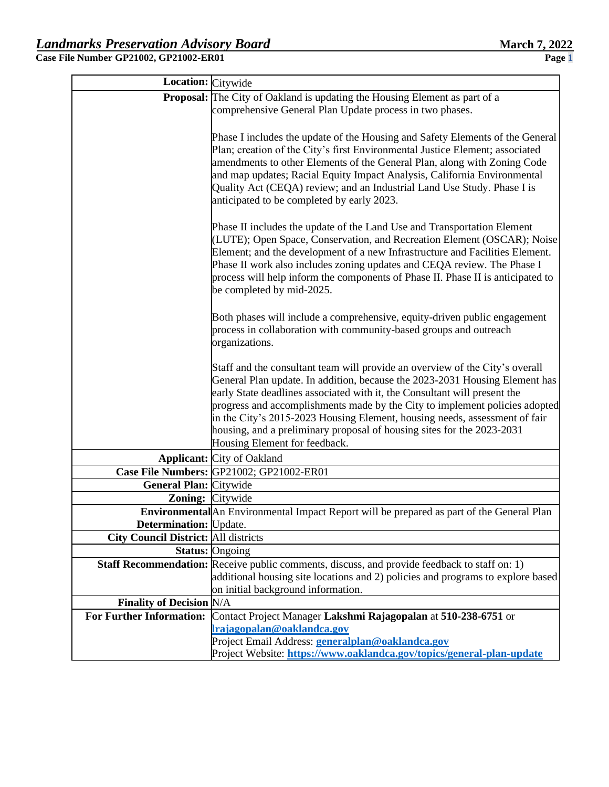| Location: Citywide                          |                                                                                                                                                                                        |  |  |  |  |  |
|---------------------------------------------|----------------------------------------------------------------------------------------------------------------------------------------------------------------------------------------|--|--|--|--|--|
|                                             | <b>Proposal:</b> The City of Oakland is updating the Housing Element as part of a                                                                                                      |  |  |  |  |  |
|                                             | comprehensive General Plan Update process in two phases.                                                                                                                               |  |  |  |  |  |
|                                             |                                                                                                                                                                                        |  |  |  |  |  |
|                                             | Phase I includes the update of the Housing and Safety Elements of the General                                                                                                          |  |  |  |  |  |
|                                             | Plan; creation of the City's first Environmental Justice Element; associated                                                                                                           |  |  |  |  |  |
|                                             | amendments to other Elements of the General Plan, along with Zoning Code                                                                                                               |  |  |  |  |  |
|                                             | and map updates; Racial Equity Impact Analysis, California Environmental                                                                                                               |  |  |  |  |  |
|                                             | Quality Act (CEQA) review; and an Industrial Land Use Study. Phase I is                                                                                                                |  |  |  |  |  |
|                                             | anticipated to be completed by early 2023.                                                                                                                                             |  |  |  |  |  |
|                                             |                                                                                                                                                                                        |  |  |  |  |  |
|                                             | Phase II includes the update of the Land Use and Transportation Element                                                                                                                |  |  |  |  |  |
|                                             | (LUTE); Open Space, Conservation, and Recreation Element (OSCAR); Noise                                                                                                                |  |  |  |  |  |
|                                             | Element; and the development of a new Infrastructure and Facilities Element.                                                                                                           |  |  |  |  |  |
|                                             | Phase II work also includes zoning updates and CEQA review. The Phase I                                                                                                                |  |  |  |  |  |
|                                             | process will help inform the components of Phase II. Phase II is anticipated to                                                                                                        |  |  |  |  |  |
|                                             | be completed by mid-2025.                                                                                                                                                              |  |  |  |  |  |
|                                             |                                                                                                                                                                                        |  |  |  |  |  |
|                                             | Both phases will include a comprehensive, equity-driven public engagement                                                                                                              |  |  |  |  |  |
|                                             | process in collaboration with community-based groups and outreach<br>organizations.                                                                                                    |  |  |  |  |  |
|                                             |                                                                                                                                                                                        |  |  |  |  |  |
|                                             | Staff and the consultant team will provide an overview of the City's overall                                                                                                           |  |  |  |  |  |
|                                             | General Plan update. In addition, because the 2023-2031 Housing Element has                                                                                                            |  |  |  |  |  |
|                                             | early State deadlines associated with it, the Consultant will present the                                                                                                              |  |  |  |  |  |
|                                             | progress and accomplishments made by the City to implement policies adopted                                                                                                            |  |  |  |  |  |
|                                             | in the City's 2015-2023 Housing Element, housing needs, assessment of fair                                                                                                             |  |  |  |  |  |
|                                             | housing, and a preliminary proposal of housing sites for the 2023-2031                                                                                                                 |  |  |  |  |  |
|                                             | Housing Element for feedback.                                                                                                                                                          |  |  |  |  |  |
|                                             | <b>Applicant:</b> City of Oakland                                                                                                                                                      |  |  |  |  |  |
|                                             | Case File Numbers: GP21002; GP21002-ER01                                                                                                                                               |  |  |  |  |  |
| General Plan: Citywide                      |                                                                                                                                                                                        |  |  |  |  |  |
| <b>Zoning:</b> Citywide                     |                                                                                                                                                                                        |  |  |  |  |  |
|                                             | Environmental An Environmental Impact Report will be prepared as part of the General Plan                                                                                              |  |  |  |  |  |
| <b>Determination:</b> Update.               |                                                                                                                                                                                        |  |  |  |  |  |
| <b>City Council District:</b> All districts |                                                                                                                                                                                        |  |  |  |  |  |
|                                             | <b>Status:</b> Ongoing                                                                                                                                                                 |  |  |  |  |  |
|                                             | <b>Staff Recommendation:</b> Receive public comments, discuss, and provide feedback to staff on: 1)<br>additional housing site locations and 2) policies and programs to explore based |  |  |  |  |  |
|                                             | on initial background information.                                                                                                                                                     |  |  |  |  |  |
| <b>Finality of Decision N/A</b>             |                                                                                                                                                                                        |  |  |  |  |  |
|                                             | For Further Information: Contact Project Manager Lakshmi Rajagopalan at 510-238-6751 or                                                                                                |  |  |  |  |  |
|                                             | Irajagopalan@oaklandca.gov                                                                                                                                                             |  |  |  |  |  |
|                                             | Project Email Address: <b>generalplan@oaklandca.gov</b>                                                                                                                                |  |  |  |  |  |
|                                             | Project Website: https://www.oaklandca.gov/topics/general-plan-update                                                                                                                  |  |  |  |  |  |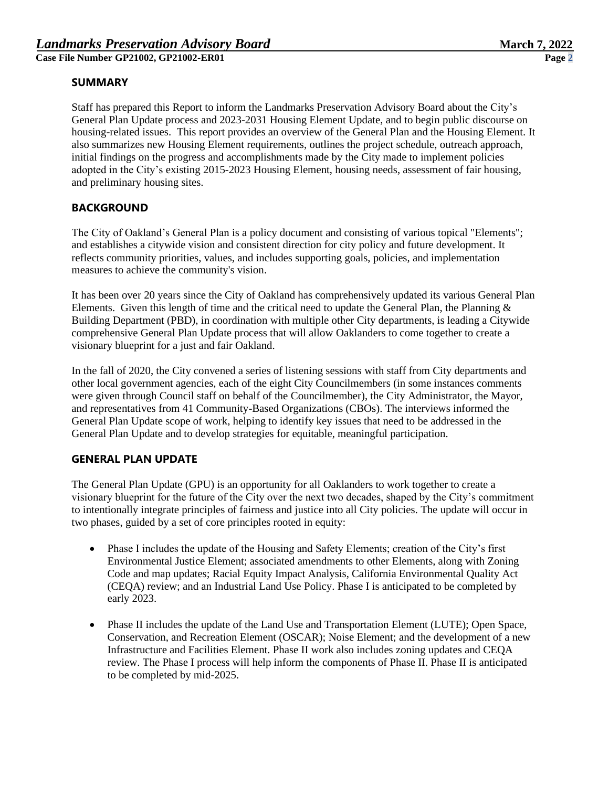## **SUMMARY**

Staff has prepared this Report to inform the Landmarks Preservation Advisory Board about the City's General Plan Update process and 2023-2031 Housing Element Update, and to begin public discourse on housing-related issues. This report provides an overview of the General Plan and the Housing Element. It also summarizes new Housing Element requirements, outlines the project schedule, outreach approach, initial findings on the progress and accomplishments made by the City made to implement policies adopted in the City's existing 2015-2023 Housing Element, housing needs, assessment of fair housing, and preliminary housing sites.

# **BACKGROUND**

The City of Oakland's General Plan is a policy document and consisting of various topical "Elements"; and establishes a citywide vision and consistent direction for city policy and future development. It reflects community priorities, values, and includes supporting goals, policies, and implementation measures to achieve the community's vision.

It has been over 20 years since the City of Oakland has comprehensively updated its various General Plan Elements. Given this length of time and the critical need to update the General Plan, the Planning  $\&$ Building Department (PBD), in coordination with multiple other City departments, is leading a Citywide comprehensive General Plan Update process that will allow Oaklanders to come together to create a visionary blueprint for a just and fair Oakland.

In the fall of 2020, the City convened a series of listening sessions with staff from City departments and other local government agencies, each of the eight City Councilmembers (in some instances comments were given through Council staff on behalf of the Councilmember), the City Administrator, the Mayor, and representatives from 41 Community-Based Organizations (CBOs). The interviews informed the General Plan Update scope of work, helping to identify key issues that need to be addressed in the General Plan Update and to develop strategies for equitable, meaningful participation.

# **GENERAL PLAN UPDATE**

The General Plan Update (GPU) is an opportunity for all Oaklanders to work together to create a visionary blueprint for the future of the City over the next two decades, shaped by the City's commitment to intentionally integrate principles of fairness and justice into all City policies. The update will occur in two phases, guided by a set of core principles rooted in equity:

- Phase I includes the update of the Housing and Safety Elements; creation of the City's first Environmental Justice Element; associated amendments to other Elements, along with Zoning Code and map updates; Racial Equity Impact Analysis, California Environmental Quality Act (CEQA) review; and an Industrial Land Use Policy. Phase I is anticipated to be completed by early 2023.
- Phase II includes the update of the Land Use and Transportation Element (LUTE); Open Space, Conservation, and Recreation Element (OSCAR); Noise Element; and the development of a new Infrastructure and Facilities Element. Phase II work also includes zoning updates and CEQA review. The Phase I process will help inform the components of Phase II. Phase II is anticipated to be completed by mid-2025.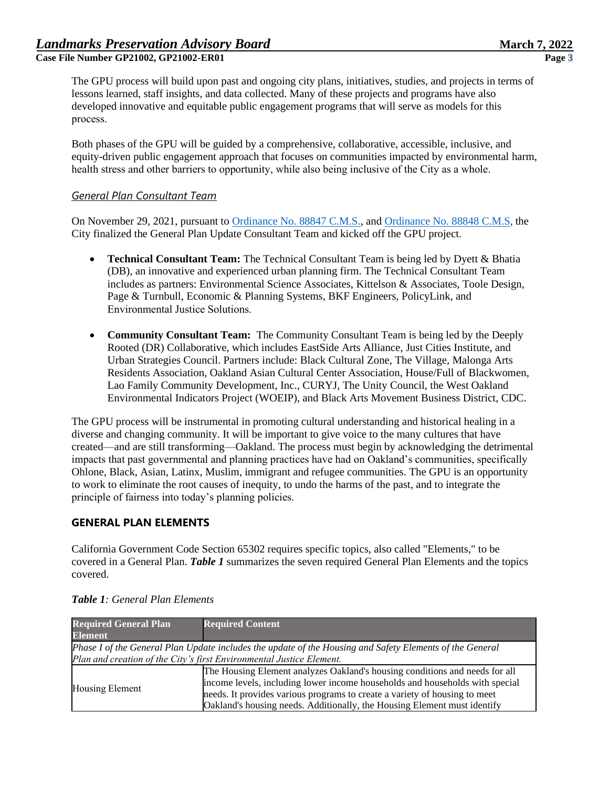The GPU process will build upon past and ongoing city plans, initiatives, studies, and projects in terms of lessons learned, staff insights, and data collected. Many of these projects and programs have also developed innovative and equitable public engagement programs that will serve as models for this process.  

Both phases of the GPU will be guided by a comprehensive, collaborative, accessible, inclusive, and equity-driven public engagement approach that focuses on communities impacted by environmental harm, health stress and other barriers to opportunity, while also being inclusive of the City as a whole. 

### *General Plan Consultant Team*

On November 29, 2021, pursuant to [Ordinance No. 88847 C.M.S.,](https://oakland.legistar.com/LegislationDetail.aspx?ID=5138691&GUID=34543EF7-0D1A-438E-A7D4-D8D0CB51420B&Options=&Search=) an[d Ordinance No. 88848 C.M.S](https://oakland.legistar.com/LegislationDetail.aspx?ID=5138722&GUID=F5188879-B227-444B-BCA9-DDA38C691EBF&Options=&Search=), the City finalized the General Plan Update Consultant Team and kicked off the GPU project.

- **Technical Consultant Team:** The Technical Consultant Team is being led by Dyett & Bhatia (DB), an innovative and experienced urban planning firm. The Technical Consultant Team includes as partners: Environmental Science Associates, Kittelson & Associates, Toole Design, Page & Turnbull, Economic & Planning Systems, BKF Engineers, PolicyLink, and Environmental Justice Solutions.
- **Community Consultant Team:** The Community Consultant Team is being led by the Deeply Rooted (DR) Collaborative, which includes EastSide Arts Alliance, Just Cities Institute, and Urban Strategies Council. Partners include: Black Cultural Zone, The Village, Malonga Arts Residents Association, Oakland Asian Cultural Center Association, House/Full of Blackwomen, Lao Family Community Development, Inc., CURYJ, The Unity Council, the West Oakland Environmental Indicators Project (WOEIP), and Black Arts Movement Business District, CDC.

The GPU process will be instrumental in promoting cultural understanding and historical healing in a diverse and changing community. It will be important to give voice to the many cultures that have created—and are still transforming—Oakland. The process must begin by acknowledging the detrimental impacts that past governmental and planning practices have had on Oakland's communities, specifically Ohlone, Black, Asian, Latinx, Muslim, immigrant and refugee communities. The GPU is an opportunity to work to eliminate the root causes of inequity, to undo the harms of the past, and to integrate the principle of fairness into today's planning policies.

## **GENERAL PLAN ELEMENTS**

California Government Code Section 65302 requires specific topics, also called "Elements," to be covered in a General Plan. *Table 1* summarizes the seven required General Plan Elements and the topics covered.

| <b>Required General Plan</b>                                                                             | <b>Required Content</b>                                                      |  |  |  |
|----------------------------------------------------------------------------------------------------------|------------------------------------------------------------------------------|--|--|--|
| <b>Element</b>                                                                                           |                                                                              |  |  |  |
| Phase I of the General Plan Update includes the update of the Housing and Safety Elements of the General |                                                                              |  |  |  |
| Plan and creation of the City's first Environmental Justice Element.                                     |                                                                              |  |  |  |
| Housing Element                                                                                          | The Housing Element analyzes Oakland's housing conditions and needs for all  |  |  |  |
|                                                                                                          | income levels, including lower income households and households with special |  |  |  |
|                                                                                                          | needs. It provides various programs to create a variety of housing to meet   |  |  |  |
|                                                                                                          | Oakland's housing needs. Additionally, the Housing Element must identify     |  |  |  |

| <b>Table 1:</b> General Plan Elements |
|---------------------------------------|
|---------------------------------------|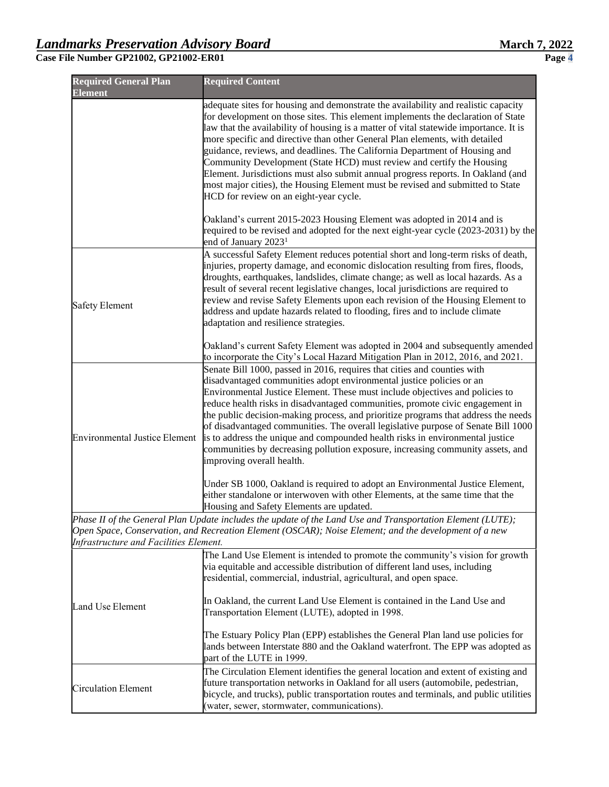| <b>Required General Plan</b><br><b>Element</b> | <b>Required Content</b>                                                                                                                                                                                                                                                                                                                                                                                                                                                                                                                                                                                                                                                                                               |
|------------------------------------------------|-----------------------------------------------------------------------------------------------------------------------------------------------------------------------------------------------------------------------------------------------------------------------------------------------------------------------------------------------------------------------------------------------------------------------------------------------------------------------------------------------------------------------------------------------------------------------------------------------------------------------------------------------------------------------------------------------------------------------|
|                                                | adequate sites for housing and demonstrate the availability and realistic capacity<br>for development on those sites. This element implements the declaration of State<br>law that the availability of housing is a matter of vital statewide importance. It is<br>more specific and directive than other General Plan elements, with detailed<br>guidance, reviews, and deadlines. The California Department of Housing and<br>Community Development (State HCD) must review and certify the Housing<br>Element. Jurisdictions must also submit annual progress reports. In Oakland (and<br>most major cities), the Housing Element must be revised and submitted to State<br>HCD for review on an eight-year cycle. |
|                                                | Oakland's current 2015-2023 Housing Element was adopted in 2014 and is<br>required to be revised and adopted for the next eight-year cycle (2023-2031) by the<br>end of January 2023 <sup>1</sup>                                                                                                                                                                                                                                                                                                                                                                                                                                                                                                                     |
| <b>Safety Element</b>                          | A successful Safety Element reduces potential short and long-term risks of death,<br>injuries, property damage, and economic dislocation resulting from fires, floods,<br>droughts, earthquakes, landslides, climate change; as well as local hazards. As a<br>result of several recent legislative changes, local jurisdictions are required to<br>review and revise Safety Elements upon each revision of the Housing Element to<br>address and update hazards related to flooding, fires and to include climate<br>adaptation and resilience strategies.                                                                                                                                                           |
|                                                | Oakland's current Safety Element was adopted in 2004 and subsequently amended<br>to incorporate the City's Local Hazard Mitigation Plan in 2012, 2016, and 2021.                                                                                                                                                                                                                                                                                                                                                                                                                                                                                                                                                      |
| <b>Environmental Justice Element</b>           | Senate Bill 1000, passed in 2016, requires that cities and counties with<br>disadvantaged communities adopt environmental justice policies or an<br>Environmental Justice Element. These must include objectives and policies to<br>reduce health risks in disadvantaged communities, promote civic engagement in<br>the public decision-making process, and prioritize programs that address the needs<br>of disadvantaged communities. The overall legislative purpose of Senate Bill 1000<br>is to address the unique and compounded health risks in environmental justice<br>communities by decreasing pollution exposure, increasing community assets, and<br>improving overall health.                          |
|                                                | Under SB 1000, Oakland is required to adopt an Environmental Justice Element,<br>either standalone or interwoven with other Elements, at the same time that the<br>Housing and Safety Elements are updated.                                                                                                                                                                                                                                                                                                                                                                                                                                                                                                           |
| Infrastructure and Facilities Element.         | Phase II of the General Plan Update includes the update of the Land Use and Transportation Element (LUTE);<br>Open Space, Conservation, and Recreation Element (OSCAR); Noise Element; and the development of a new                                                                                                                                                                                                                                                                                                                                                                                                                                                                                                   |
|                                                | The Land Use Element is intended to promote the community's vision for growth<br>via equitable and accessible distribution of different land uses, including<br>residential, commercial, industrial, agricultural, and open space.                                                                                                                                                                                                                                                                                                                                                                                                                                                                                    |
| Land Use Element                               | In Oakland, the current Land Use Element is contained in the Land Use and<br>Transportation Element (LUTE), adopted in 1998.                                                                                                                                                                                                                                                                                                                                                                                                                                                                                                                                                                                          |
|                                                | The Estuary Policy Plan (EPP) establishes the General Plan land use policies for<br>lands between Interstate 880 and the Oakland waterfront. The EPP was adopted as<br>part of the LUTE in 1999.                                                                                                                                                                                                                                                                                                                                                                                                                                                                                                                      |
| Circulation Element                            | The Circulation Element identifies the general location and extent of existing and<br>future transportation networks in Oakland for all users (automobile, pedestrian,<br>bicycle, and trucks), public transportation routes and terminals, and public utilities<br>(water, sewer, stormwater, communications).                                                                                                                                                                                                                                                                                                                                                                                                       |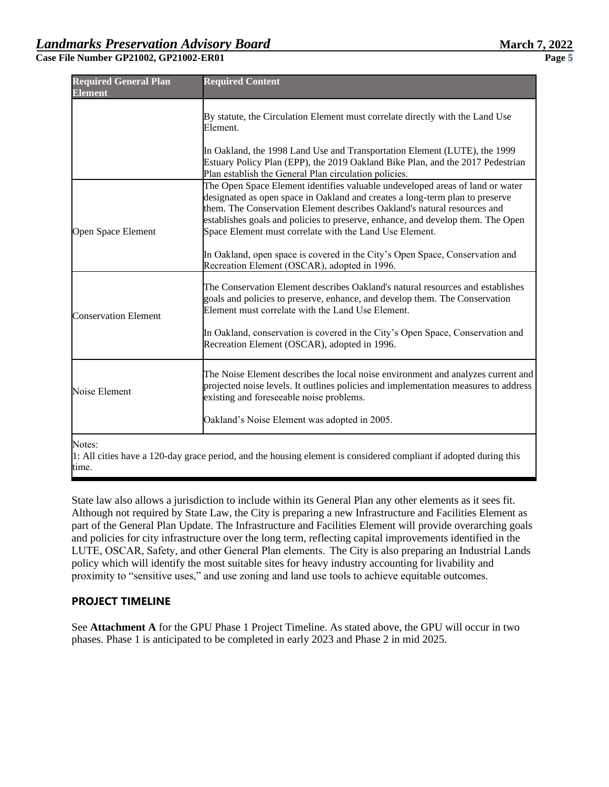| <b>Required General Plan</b><br><b>Element</b> | <b>Required Content</b>                                                                                                                                                                                                                                                                                                                                                                 |
|------------------------------------------------|-----------------------------------------------------------------------------------------------------------------------------------------------------------------------------------------------------------------------------------------------------------------------------------------------------------------------------------------------------------------------------------------|
|                                                | By statute, the Circulation Element must correlate directly with the Land Use<br>Element.                                                                                                                                                                                                                                                                                               |
|                                                | In Oakland, the 1998 Land Use and Transportation Element (LUTE), the 1999<br>Estuary Policy Plan (EPP), the 2019 Oakland Bike Plan, and the 2017 Pedestrian<br>Plan establish the General Plan circulation policies.                                                                                                                                                                    |
| Open Space Element                             | The Open Space Element identifies valuable undeveloped areas of land or water<br>designated as open space in Oakland and creates a long-term plan to preserve<br>them. The Conservation Element describes Oakland's natural resources and<br>establishes goals and policies to preserve, enhance, and develop them. The Open<br>Space Element must correlate with the Land Use Element. |
|                                                | In Oakland, open space is covered in the City's Open Space, Conservation and<br>Recreation Element (OSCAR), adopted in 1996.                                                                                                                                                                                                                                                            |
| <b>Conservation Element</b>                    | The Conservation Element describes Oakland's natural resources and establishes<br>goals and policies to preserve, enhance, and develop them. The Conservation<br>Element must correlate with the Land Use Element.<br>In Oakland, conservation is covered in the City's Open Space, Conservation and<br>Recreation Element (OSCAR), adopted in 1996.                                    |
|                                                |                                                                                                                                                                                                                                                                                                                                                                                         |
| Noise Element                                  | The Noise Element describes the local noise environment and analyzes current and<br>projected noise levels. It outlines policies and implementation measures to address<br>existing and foreseeable noise problems.                                                                                                                                                                     |
| $\mathbf{r}$                                   | Oakland's Noise Element was adopted in 2005.                                                                                                                                                                                                                                                                                                                                            |

Notes: 

 $\vert$ 1: All cities have a 120-day grace period, and the housing element is considered compliant if adopted during this time. 

State law also allows a jurisdiction to include within its General Plan any other elements as it sees fit. Although not required by State Law, the City is preparing a new Infrastructure and Facilities Element as part of the General Plan Update. The Infrastructure and Facilities Element will provide overarching goals and policies for city infrastructure over the long term, reflecting capital improvements identified in the LUTE, OSCAR, Safety, and other General Plan elements.  The City is also preparing an Industrial Lands policy which will identify the most suitable sites for heavy industry accounting for livability and proximity to "sensitive uses," and use zoning and land use tools to achieve equitable outcomes.

## **PROJECT TIMELINE**

See **Attachment A** for the GPU Phase 1 Project Timeline. As stated above, the GPU will occur in two phases. Phase 1 is anticipated to be completed in early 2023 and Phase 2 in mid 2025.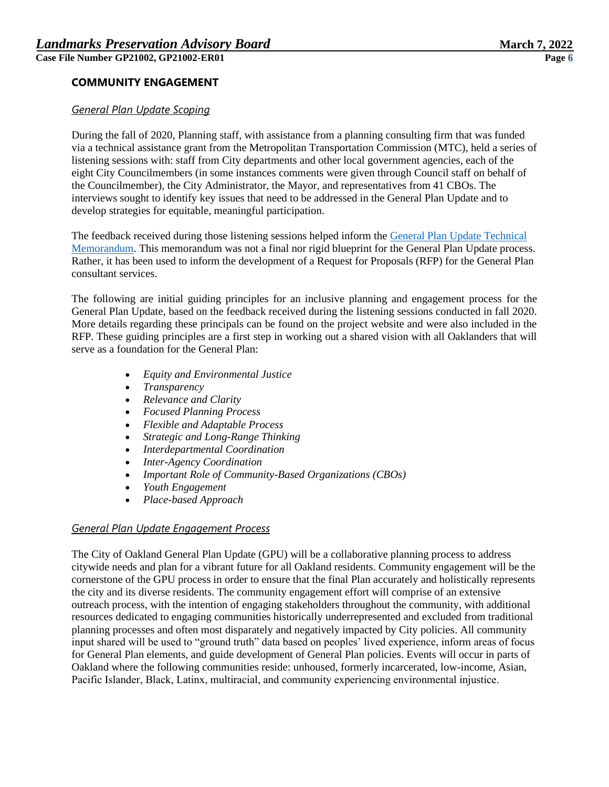## **COMMUNITY ENGAGEMENT**

### *General Plan Update Scoping*

During the fall of 2020, Planning staff, with assistance from a planning consulting firm that was funded via a technical assistance grant from the Metropolitan Transportation Commission (MTC), held a series of listening sessions with: staff from City departments and other local government agencies, each of the eight City Councilmembers (in some instances comments were given through Council staff on behalf of the Councilmember), the City Administrator, the Mayor, and representatives from 41 CBOs. The interviews sought to identify key issues that need to be addressed in the General Plan Update and to develop strategies for equitable, meaningful participation.

The feedback received during those listening sessions helped inform the [General Plan Update Technical](https://www.oaklandca.gov/resources/general-plan-technical-memo-principles-issues-and-potential-framework)  [Memorandum.](https://www.oaklandca.gov/resources/general-plan-technical-memo-principles-issues-and-potential-framework) This memorandum was not a final nor rigid blueprint for the General Plan Update process. Rather, it has been used to inform the development of a Request for Proposals (RFP) for the General Plan consultant services.

The following are initial guiding principles for an inclusive planning and engagement process for the General Plan Update, based on the feedback received during the listening sessions conducted in fall 2020. More details regarding these principals can be found on the project website and were also included in the RFP. These guiding principles are a first step in working out a shared vision with all Oaklanders that will serve as a foundation for the General Plan:

- *Equity and Environmental Justice*
- *Transparency*
- *Relevance and Clarity*
- *Focused Planning Process*
- *Flexible and Adaptable Process*
- *Strategic and Long-Range Thinking*
- *Interdepartmental Coordination*
- *Inter-Agency Coordination*
- *Important Role of Community-Based Organizations (CBOs)*
- *Youth Engagement*
- *Place-based Approach*

#### *General Plan Update Engagement Process*

The City of Oakland General Plan Update (GPU) will be a collaborative planning process to address citywide needs and plan for a vibrant future for all Oakland residents. Community engagement will be the cornerstone of the GPU process in order to ensure that the final Plan accurately and holistically represents the city and its diverse residents. The community engagement effort will comprise of an extensive outreach process, with the intention of engaging stakeholders throughout the community, with additional resources dedicated to engaging communities historically underrepresented and excluded from traditional planning processes and often most disparately and negatively impacted by City policies. All community input shared will be used to "ground truth" data based on peoples' lived experience, inform areas of focus for General Plan elements, and guide development of General Plan policies. Events will occur in parts of Oakland where the following communities reside: unhoused, formerly incarcerated, low-income, Asian, Pacific Islander, Black, Latinx, multiracial, and community experiencing environmental injustice.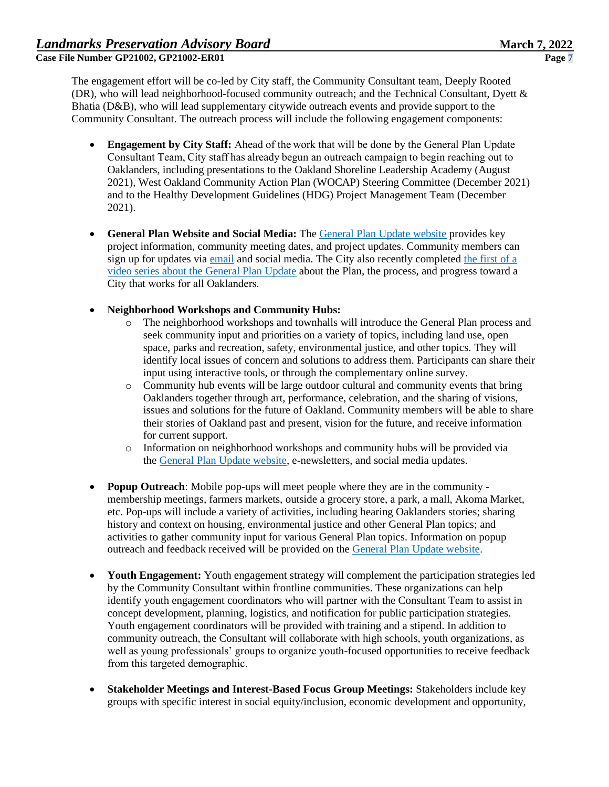The engagement effort will be co-led by City staff, the Community Consultant team, Deeply Rooted (DR), who will lead neighborhood-focused community outreach; and the Technical Consultant, Dyett & Bhatia (D&B), who will lead supplementary citywide outreach events and provide support to the Community Consultant. The outreach process will include the following engagement components:

- **Engagement by City Staff:** Ahead of the work that will be done by the General Plan Update Consultant Team, City staff has already begun an outreach campaign to begin reaching out to Oaklanders, including presentations to the Oakland Shoreline Leadership Academy (August 2021), West Oakland Community Action Plan (WOCAP) Steering Committee (December 2021) and to the Healthy Development Guidelines (HDG) Project Management Team (December 2021).
- **General Plan Website and Social Media:** The [General Plan Update website](https://www.oaklandca.gov/topics/general-plan-update) provides key project information, community meeting dates, and project updates. Community members can sign up for updates via [email](https://www.oaklandca.gov/topics/general-plan-update#general-plan-e-mail-updates) and social media. The City also recently completed [the first of a](https://www.oaklandca.gov/news/2021/general-plan-update-video-series)  [video series about the General Plan Update](https://www.oaklandca.gov/news/2021/general-plan-update-video-series) about the Plan, the process, and progress toward a City that works for all Oaklanders.
- **Neighborhood Workshops and Community Hubs:**
	- o The neighborhood workshops and townhalls will introduce the General Plan process and seek community input and priorities on a variety of topics, including land use, open space, parks and recreation, safety, environmental justice, and other topics. They will identify local issues of concern and solutions to address them. Participants can share their input using interactive tools, or through the complementary online survey.
	- o Community hub events will be large outdoor cultural and community events that bring Oaklanders together through art, performance, celebration, and the sharing of visions, issues and solutions for the future of Oakland. Community members will be able to share their stories of Oakland past and present, vision for the future, and receive information for current support.
	- o Information on neighborhood workshops and community hubs will be provided via the [General Plan Update website,](https://www.oaklandca.gov/topics/general-plan-update#community-events-and-public-meetings) e-newsletters, and social media updates.
- **Popup Outreach**: Mobile pop-ups will meet people where they are in the community membership meetings, farmers markets, outside a grocery store, a park, a mall, Akoma Market, etc. Pop-ups will include a variety of activities, including hearing Oaklanders stories; sharing history and context on housing, environmental justice and other General Plan topics; and activities to gather community input for various General Plan topics. Information on popup outreach and feedback received will be provided on the [General Plan Update website.](https://www.oaklandca.gov/topics/general-plan-update#community-events-and-public-meetings)
- **Youth Engagement:** Youth engagement strategy will complement the participation strategies led by the Community Consultant within frontline communities. These organizations can help identify youth engagement coordinators who will partner with the Consultant Team to assist in concept development, planning, logistics, and notification for public participation strategies. Youth engagement coordinators will be provided with training and a stipend. In addition to community outreach, the Consultant will collaborate with high schools, youth organizations, as well as young professionals' groups to organize youth-focused opportunities to receive feedback from this targeted demographic.
- **Stakeholder Meetings and Interest-Based Focus Group Meetings:** Stakeholders include key groups with specific interest in social equity/inclusion, economic development and opportunity,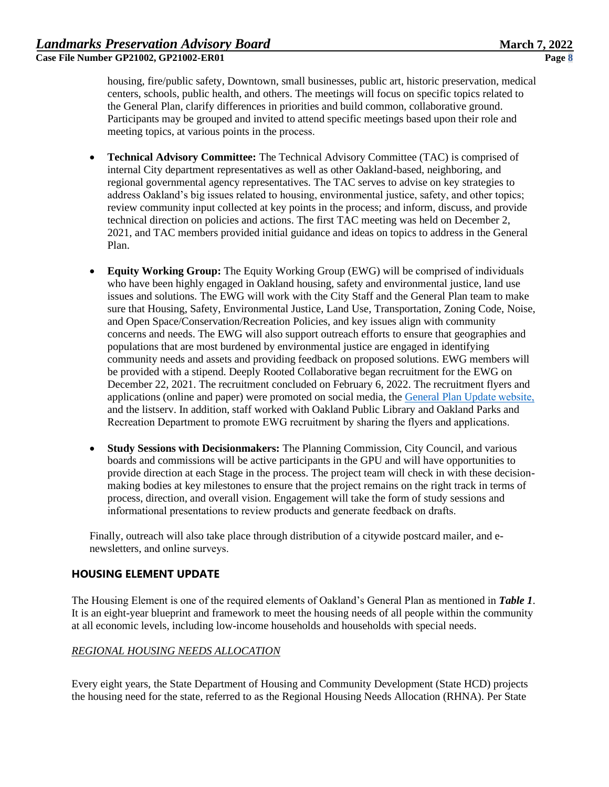housing, fire/public safety, Downtown, small businesses, public art, historic preservation, medical centers, schools, public health, and others. The meetings will focus on specific topics related to the General Plan, clarify differences in priorities and build common, collaborative ground. Participants may be grouped and invited to attend specific meetings based upon their role and meeting topics, at various points in the process. 

- **Technical Advisory Committee:** The Technical Advisory Committee (TAC) is comprised of internal City department representatives as well as other Oakland-based, neighboring, and regional governmental agency representatives. The TAC serves to advise on key strategies to address Oakland's big issues related to housing, environmental justice, safety, and other topics; review community input collected at key points in the process; and inform, discuss, and provide technical direction on policies and actions. The first TAC meeting was held on December 2, 2021, and TAC members provided initial guidance and ideas on topics to address in the General Plan.
- **Equity Working Group:** The Equity Working Group (EWG) will be comprised of individuals who have been highly engaged in Oakland housing, safety and environmental justice, land use issues and solutions. The EWG will work with the City Staff and the General Plan team to make sure that Housing, Safety, Environmental Justice, Land Use, Transportation, Zoning Code, Noise, and Open Space/Conservation/Recreation Policies, and key issues align with community concerns and needs. The EWG will also support outreach efforts to ensure that geographies and populations that are most burdened by environmental justice are engaged in identifying community needs and assets and providing feedback on proposed solutions. EWG members will be provided with a stipend. Deeply Rooted Collaborative began recruitment for the EWG on December 22, 2021. The recruitment concluded on February 6, 2022. The recruitment flyers and applications (online and paper) were promoted on social media, the [General Plan Update website,](https://www.oaklandca.gov/news/2021/join-the-oakland-general-plan-equity-working-group) and the listserv. In addition, staff worked with Oakland Public Library and Oakland Parks and Recreation Department to promote EWG recruitment by sharing the flyers and applications.
- **Study Sessions with Decisionmakers:** The Planning Commission, City Council, and various boards and commissions will be active participants in the GPU and will have opportunities to provide direction at each Stage in the process. The project team will check in with these decisionmaking bodies at key milestones to ensure that the project remains on the right track in terms of process, direction, and overall vision. Engagement will take the form of study sessions and informational presentations to review products and generate feedback on drafts.

Finally, outreach will also take place through distribution of a citywide postcard mailer, and enewsletters, and online surveys. 

## **HOUSING ELEMENT UPDATE**

The Housing Element is one of the required elements of Oakland's General Plan as mentioned in *Table 1*. It is an eight-year blueprint and framework to meet the housing needs of all people within the community at all economic levels, including low-income households and households with special needs.

## *REGIONAL HOUSING NEEDS ALLOCATION*

Every eight years, the State Department of Housing and Community Development (State HCD) projects the housing need for the state, referred to as the Regional Housing Needs Allocation (RHNA). Per State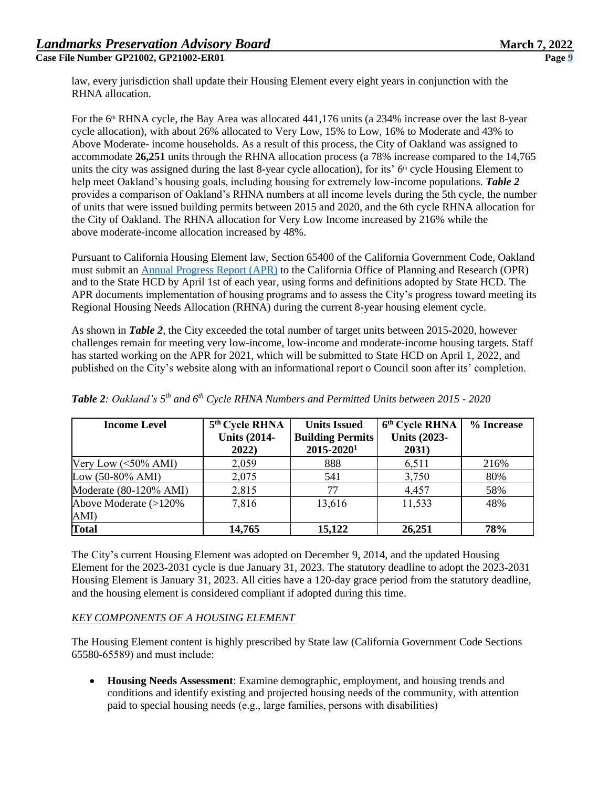law, every jurisdiction shall update their Housing Element every eight years in conjunction with the RHNA allocation.

For the 6<sup>th</sup> RHNA cycle, the Bay Area was allocated 441,176 units (a 234% increase over the last 8-year cycle allocation), with about 26% allocated to Very Low, 15% to Low, 16% to Moderate and 43% to Above Moderate- income households. As a result of this process, the City of Oakland was assigned to accommodate **26,251** units through the RHNA allocation process (a 78% increase compared to the 14,765 units the city was assigned during the last 8-year cycle allocation), for its'  $6<sup>th</sup>$  cycle Housing Element to help meet Oakland's housing goals, including housing for extremely low-income populations. *Table 2* provides a comparison of Oakland's RHNA numbers at all income levels during the 5th cycle, the number of units that were issued building permits between 2015 and 2020, and the 6th cycle RHNA allocation for the City of Oakland. The RHNA allocation for Very Low Income increased by 216% while the above moderate-income allocation increased by 48%.

Pursuant to California Housing Element law, Section 65400 of the California Government Code, Oakland must submit an [Annual Progress Report \(APR\)](https://www.oaklandca.gov/documents/housing-element-annual-progress-reports) to the California Office of Planning and Research (OPR) and to the State HCD by April 1st of each year, using forms and definitions adopted by State HCD. The APR documents implementation of housing programs and to assess the City's progress toward meeting its Regional Housing Needs Allocation (RHNA) during the current 8-year housing element cycle.

As shown in *Table 2*, the City exceeded the total number of target units between 2015-2020, however challenges remain for meeting very low-income, low-income and moderate-income housing targets. Staff has started working on the APR for 2021, which will be submitted to State HCD on April 1, 2022, and published on the City's website along with an informational report o Council soon after its' completion.

| <b>Income Level</b>           | 5 <sup>th</sup> Cycle RHNA<br><b>Units (2014-</b><br>2022) | <b>Units Issued</b><br><b>Building Permits</b><br>$2015 - 2020$ <sup>1</sup> | 6 <sup>th</sup> Cycle RHNA<br><b>Units (2023-</b><br>2031) | % Increase |
|-------------------------------|------------------------------------------------------------|------------------------------------------------------------------------------|------------------------------------------------------------|------------|
| Very Low $(<50\%$ AMI)        | 2,059                                                      | 888                                                                          | 6,511                                                      | 216%       |
| Low $(50-80\% \text{ AMI})$   | 2,075                                                      | 541                                                                          | 3,750                                                      | 80%        |
| Moderate (80-120% AMI)        | 2,815                                                      | 77                                                                           | 4,457                                                      | 58%        |
| Above Moderate (>120%<br>AMI) | 7,816                                                      | 13,616                                                                       | 11,533                                                     | 48%        |
| <b>Total</b>                  | 14,765                                                     | 15,122                                                                       | 26,251                                                     | 78%        |

*Table 2: Oakland's 5 th and 6th Cycle RHNA Numbers and Permitted Units between 2015 - 2020* 

The City's current Housing Element was adopted on December 9, 2014, and the updated Housing Element for the 2023-2031 cycle is due January 31, 2023. The statutory deadline to adopt the 2023-2031 Housing Element is January 31, 2023. All cities have a 120-day grace period from the statutory deadline, and the housing element is considered compliant if adopted during this time.

## *KEY COMPONENTS OF A HOUSING ELEMENT*

The Housing Element content is highly prescribed by State law (California Government Code Sections 65580-65589) and must include: 

• **Housing Needs Assessment**: Examine demographic, employment, and housing trends and conditions and identify existing and projected housing needs of the community, with attention paid to special housing needs (e.g., large families, persons with disabilities)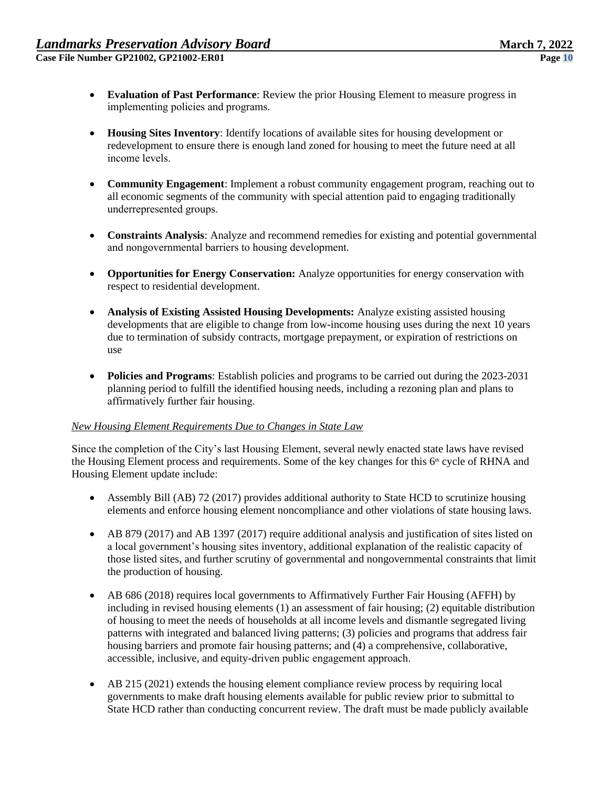- **Evaluation of Past Performance**: Review the prior Housing Element to measure progress in implementing policies and programs.
- **Housing Sites Inventory**: Identify locations of available sites for housing development or redevelopment to ensure there is enough land zoned for housing to meet the future need at all income levels.
- **Community Engagement**: Implement a robust community engagement program, reaching out to all economic segments of the community with special attention paid to engaging traditionally underrepresented groups.
- **Constraints Analysis**: Analyze and recommend remedies for existing and potential governmental and nongovernmental barriers to housing development.
- **Opportunities for Energy Conservation:** Analyze opportunities for energy conservation with respect to residential development.
- **Analysis of Existing Assisted Housing Developments:** Analyze existing assisted housing developments that are eligible to change from low-income housing uses during the next 10 years due to termination of subsidy contracts, mortgage prepayment, or expiration of restrictions on use
- **Policies and Programs**: Establish policies and programs to be carried out during the 2023-2031 planning period to fulfill the identified housing needs, including a rezoning plan and plans to affirmatively further fair housing.

### *New Housing Element Requirements Due to Changes in State Law*

Since the completion of the City's last Housing Element, several newly enacted state laws have revised the Housing Element process and requirements. Some of the key changes for this 6<sup>th</sup> cycle of RHNA and Housing Element update include: 

- Assembly Bill (AB) 72 (2017) provides additional authority to State HCD to scrutinize housing elements and enforce housing element noncompliance and other violations of state housing laws.
- AB 879 (2017) and AB 1397 (2017) require additional analysis and justification of sites listed on a local government's housing sites inventory, additional explanation of the realistic capacity of those listed sites, and further scrutiny of governmental and nongovernmental constraints that limit the production of housing.
- AB 686 (2018) requires local governments to Affirmatively Further Fair Housing (AFFH) by including in revised housing elements (1) an assessment of fair housing; (2) equitable distribution of housing to meet the needs of households at all income levels and dismantle segregated living patterns with integrated and balanced living patterns; (3) policies and programs that address fair housing barriers and promote fair housing patterns; and (4) a comprehensive, collaborative, accessible, inclusive, and equity-driven public engagement approach.
- AB 215 (2021) extends the housing element compliance review process by requiring local governments to make draft housing elements available for public review prior to submittal to State HCD rather than conducting concurrent review. The draft must be made publicly available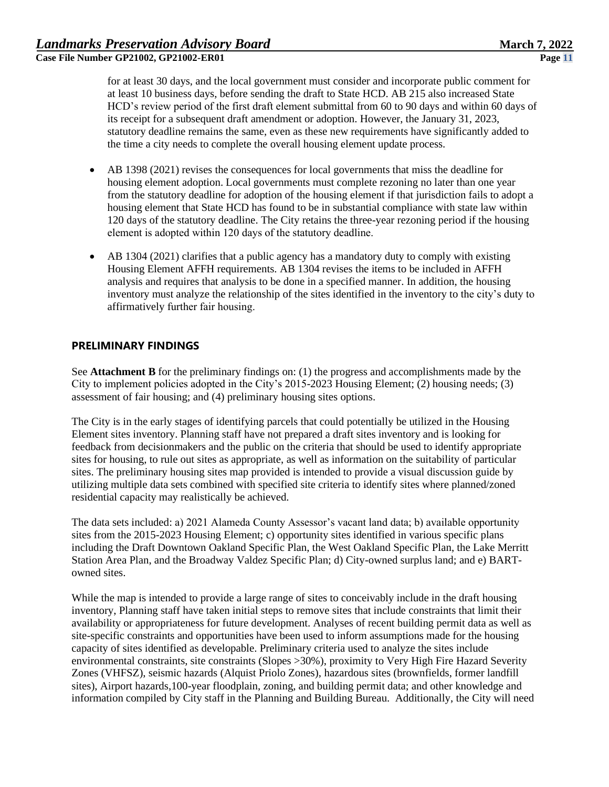for at least 30 days, and the local government must consider and incorporate public comment for at least 10 business days, before sending the draft to State HCD. AB 215 also increased State HCD's review period of the first draft element submittal from 60 to 90 days and within 60 days of its receipt for a subsequent draft amendment or adoption. However, the January 31, 2023, statutory deadline remains the same, even as these new requirements have significantly added to the time a city needs to complete the overall housing element update process.

- AB 1398 (2021) revises the consequences for local governments that miss the deadline for housing element adoption. Local governments must complete rezoning no later than one year from the statutory deadline for adoption of the housing element if that jurisdiction fails to adopt a housing element that State HCD has found to be in substantial compliance with state law within 120 days of the statutory deadline. The City retains the three-year rezoning period if the housing element is adopted within 120 days of the statutory deadline.
- AB 1304 (2021) clarifies that a public agency has a mandatory duty to comply with existing Housing Element AFFH requirements. AB 1304 revises the items to be included in AFFH analysis and requires that analysis to be done in a specified manner. In addition, the housing inventory must analyze the relationship of the sites identified in the inventory to the city's duty to affirmatively further fair housing.

### **PRELIMINARY FINDINGS**

See **Attachment B** for the preliminary findings on: (1) the progress and accomplishments made by the City to implement policies adopted in the City's 2015-2023 Housing Element; (2) housing needs; (3) assessment of fair housing; and (4) preliminary housing sites options.

The City is in the early stages of identifying parcels that could potentially be utilized in the Housing Element sites inventory. Planning staff have not prepared a draft sites inventory and is looking for feedback from decisionmakers and the public on the criteria that should be used to identify appropriate sites for housing, to rule out sites as appropriate, as well as information on the suitability of particular sites. The preliminary housing sites map provided is intended to provide a visual discussion guide by utilizing multiple data sets combined with specified site criteria to identify sites where planned/zoned residential capacity may realistically be achieved.

The data sets included: a) 2021 Alameda County Assessor's vacant land data; b) available opportunity sites from the 2015-2023 Housing Element; c) opportunity sites identified in various specific plans including the Draft Downtown Oakland Specific Plan, the West Oakland Specific Plan, the Lake Merritt Station Area Plan, and the Broadway Valdez Specific Plan; d) City-owned surplus land; and e) BARTowned sites.

While the map is intended to provide a large range of sites to conceivably include in the draft housing inventory, Planning staff have taken initial steps to remove sites that include constraints that limit their availability or appropriateness for future development. Analyses of recent building permit data as well as site-specific constraints and opportunities have been used to inform assumptions made for the housing capacity of sites identified as developable. Preliminary criteria used to analyze the sites include environmental constraints, site constraints (Slopes >30%), proximity to Very High Fire Hazard Severity Zones (VHFSZ), seismic hazards (Alquist Priolo Zones), hazardous sites (brownfields, former landfill sites), Airport hazards,100-year floodplain, zoning, and building permit data; and other knowledge and information compiled by City staff in the Planning and Building Bureau. Additionally, the City will need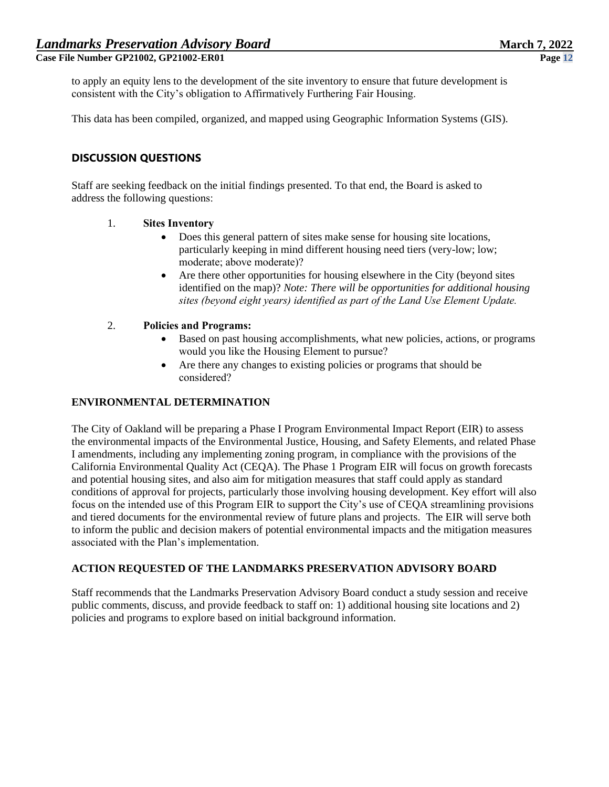to apply an equity lens to the development of the site inventory to ensure that future development is consistent with the City's obligation to Affirmatively Furthering Fair Housing.

This data has been compiled, organized, and mapped using Geographic Information Systems (GIS).

# **DISCUSSION QUESTIONS**

Staff are seeking feedback on the initial findings presented. To that end, the Board is asked to address the following questions: 

### 1. **Sites Inventory**

- Does this general pattern of sites make sense for housing site locations, particularly keeping in mind different housing need tiers (very-low; low; moderate; above moderate)?
- Are there other opportunities for housing elsewhere in the City (beyond sites identified on the map)? *Note: There will be opportunities for additional housing sites (beyond eight years) identified as part of the Land Use Element Update.*

### 2. **Policies and Programs:**

- Based on past housing accomplishments, what new policies, actions, or programs would you like the Housing Element to pursue?
- Are there any changes to existing policies or programs that should be considered?

#### **ENVIRONMENTAL DETERMINATION**

The City of Oakland will be preparing a Phase I Program Environmental Impact Report (EIR) to assess the environmental impacts of the Environmental Justice, Housing, and Safety Elements, and related Phase I amendments, including any implementing zoning program, in compliance with the provisions of the California Environmental Quality Act (CEQA). The Phase 1 Program EIR will focus on growth forecasts and potential housing sites, and also aim for mitigation measures that staff could apply as standard conditions of approval for projects, particularly those involving housing development. Key effort will also focus on the intended use of this Program EIR to support the City's use of CEQA streamlining provisions and tiered documents for the environmental review of future plans and projects. The EIR will serve both to inform the public and decision makers of potential environmental impacts and the mitigation measures associated with the Plan's implementation.

## **ACTION REQUESTED OF THE LANDMARKS PRESERVATION ADVISORY BOARD**

Staff recommends that the Landmarks Preservation Advisory Board conduct a study session and receive public comments, discuss, and provide feedback to staff on: 1) additional housing site locations and 2) policies and programs to explore based on initial background information.